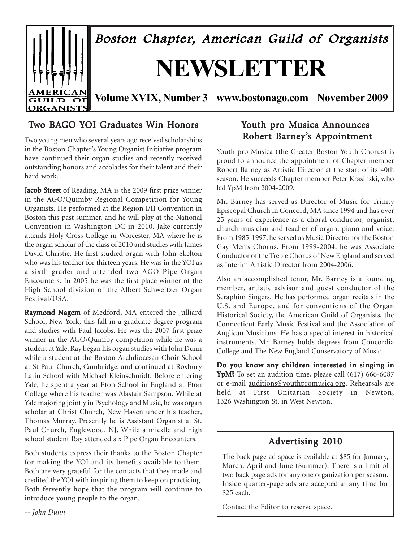

# Two BAGO YOI Graduates Win Honors

Two young men who several years ago received scholarships in the Boston Chapter's Young Organist Initiative program have continued their organ studies and recently received outstanding honors and accolades for their talent and their hard work.

Jacob Street of Reading, MA is the 2009 first prize winner in the AGO/Quimby Regional Competition for Young Organists. He performed at the Region I/II Convention in Boston this past summer, and he will play at the National Convention in Washington DC in 2010. Jake currently attends Holy Cross College in Worcester, MA where he is the organ scholar of the class of 2010 and studies with James David Christie. He first studied organ with John Skelton who was his teacher for thirteen years. He was in the YOI as a sixth grader and attended two AGO Pipe Organ Encounters. In 2005 he was the first place winner of the High School division of the Albert Schweitzer Organ Festival/USA.

Raymond Nagem of Medford, MA entered the Julliard School, New York, this fall in a graduate degree program and studies with Paul Jacobs. He was the 2007 first prize winner in the AGO/Quimby competition while he was a student at Yale. Ray began his organ studies with John Dunn while a student at the Boston Archdiocesan Choir School at St Paul Church, Cambridge, and continued at Roxbury Latin School with Michael Kleinschmidt. Before entering Yale, he spent a year at Eton School in England at Eton College where his teacher was Alastair Sampson. While at Yale majoring jointly in Psychology and Music, he was organ scholar at Christ Church, New Haven under his teacher, Thomas Murray. Presently he is Assistant Organist at St. Paul Church, Englewood, NJ. While a middle and high school student Ray attended six Pipe Organ Encounters.

Both students express their thanks to the Boston Chapter for making the YOI and its benefits available to them. Both are very grateful for the contacts that they made and credited the YOI with inspiring them to keep on practicing. Both fervently hope that the program will continue to introduce young people to the organ.

# Youth pro Musica Announces Robert Barney's Appointment

Youth pro Musica (the Greater Boston Youth Chorus) is proud to announce the appointment of Chapter member Robert Barney as Artistic Director at the start of its 40th season. He succeeds Chapter member Peter Krasinski, who led YpM from 2004-2009.

Mr. Barney has served as Director of Music for Trinity Episcopal Church in Concord, MA since 1994 and has over 25 years of experience as a choral conductor, organist, church musician and teacher of organ, piano and voice. From 1985-1997, he served as Music Director for the Boston Gay Men's Chorus. From 1999-2004, he was Associate Conductor of the Treble Chorus of New England and served as Interim Artistic Director from 2004-2006.

Also an accomplished tenor, Mr. Barney is a founding member, artistic advisor and guest conductor of the Seraphim Singers. He has performed organ recitals in the U.S. and Europe, and for conventions of the Organ Historical Society, the American Guild of Organists, the Connecticut Early Music Festival and the Association of Anglican Musicians. He has a special interest in historical instruments. Mr. Barney holds degrees from Concordia College and The New England Conservatory of Music.

Do you know any children interested in singing in YpM? To set an audition time, please call (617) 666-6087 or e-mail auditions@youthpromusica.org. Rehearsals are held at First Unitarian Society in Newton, 1326 Washington St. in West Newton.

# Advertising 2010

The back page ad space is available at \$85 for January, March, April and June (Summer). There is a limit of two back page ads for any one organization per season. Inside quarter-page ads are accepted at any time for \$25 each.

Contact the Editor to reserve space.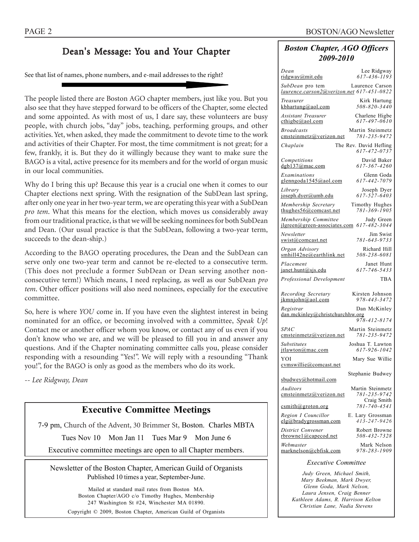# Dean's Message: You and Your Chapter

See that list of names, phone numbers, and e-mail addresses to the right?

The people listed there are Boston AGO chapter members, just like you. But you also see that they have stepped forward to be officers of the Chapter, some elected and some appointed. As with most of us, I dare say, these volunteers are busy people, with church jobs, "day" jobs, teaching, performing groups, and other activities. Yet, when asked, they made the commitment to devote time to the work and activities of their Chapter. For most, the time commitment is not great; for a few, frankly, it is. But they do it willingly because they want to make sure the BAGO is a vital, active presence for its members and for the world of organ music in our local communities.

Why do I bring this up? Because this year is a crucial one when it comes to our Chapter elections next spring. With the resignation of the SubDean last spring, after only one year in her two-year term, we are operating this year with a SubDean *pro tem*. What this means for the election, which moves us considerably away from our traditional practice, is that we will be seeking nominees for both SubDean and Dean. (Our usual practice is that the SubDean, following a two-year term, succeeds to the dean-ship.)

According to the BAGO operating procedures, the Dean and the SubDean can serve only one two-year term and cannot be re-elected to a consecutive term. (This does not preclude a former SubDean or Dean serving another nonconsecutive term!) Which means, I need replacing, as well as our SubDean *pro tem*. Other officer positions will also need nominees, especially for the executive committee.

So, here is where *YOU* come in. If you have even the slightest interest in being nominated for an office, or becoming involved with a committee, *Speak Up*! Contact me or another officer whom you know, or contact any of us even if you don't know who we are, and we will be pleased to fill you in and answer any questions. And if the Chapter nominating committee calls you, please consider responding with a resounding "Yes!". We will reply with a resounding "Thank you!", for the BAGO is only as good as the members who do its work.

*-- Lee Ridgway, Dean*

# **Executive Committee Meetings**

7-9 pm, Church of the Advent, 30 Brimmer St, Boston. Charles MBTA

Tues Nov 10 Mon Jan 11 Tues Mar 9 Mon June 6

Executive committee meetings are open to all Chapter members.

Newsletter of the Boston Chapter, American Guild of Organists Published 10 times a year, September-June.

> Mailed at standard mail rates from Boston MA. Boston Chapter/AGO c/o Timothy Hughes, Membership 247 Washington St #24, Winchester MA 01890. Copyright © 2009, Boston Chapter, American Guild of Organists

# *Boston Chapter, AGO Officers 2009-2010*

| Dean<br>ridgway@mit.edu                                       | Lee Ridgway<br>$617 - 436 - 1193$      |
|---------------------------------------------------------------|----------------------------------------|
| SubDean pro tem<br>laurence.carson2@verizon.net 617-451-0822  | Laurence Carson                        |
| Treasurer<br>$k$ bhartung@aol.com                             | Kirk Hartung<br>508-820-3440           |
| <b>Assistant Treasurer</b><br>$\text{cthigbe}(a)$ aol.com     | Charlene Higbe<br>617-497-0610         |
| <b>Broadcasts</b><br>cmsteinmetz@verizon.net                  | Martin Steinmetz<br>781-235-9472       |
| Chaplain                                                      | The Rev. David Hefling<br>617-472-0737 |
| Competitions<br>dgb137@mac.com                                | David Baker<br>617-367-4260            |
| Examinations<br>glenngoda1545@aol.com                         | Glenn Goda<br>617-442-7079             |
| Library<br>joseph.dyer@umb.edu                                | Joseph Dyer<br>617-527-6403            |
| Membership Secretary<br>thughes $56$ @comcast.net             | Timothy Hughes<br>781-369-1905         |
| Membership Committee<br>$ilgreen(\omega$ green-associates.com | Judy Green<br>617-482-3044             |
| Newsletter<br>swist@comcast.net                               | Jim Swist<br>781-643-9733              |
| Organ Advisory<br>smhill42ne@earthlink.net                    | Richard Hill<br>508-238-6081           |
| Placement<br>janet.hunt@sjs.edu                               | Janet Hunt<br>617-746-5433             |
| Professional Development                                      | <b>TBA</b>                             |
| Recording Secretary<br>ikmniohn@aol.com                       | Kirsten Johnson<br>978-443-3472        |
| Registrar<br>dan.mckinley@christchurchhw.org                  | Dan McKinley<br>978-412-8174           |
| <b>SPAC</b><br>emsteinmetz@verizon.net                        | Martin Steinmetz<br>781-235-9472       |
| <b>Substitutes</b><br>jtlawton@mac.com                        | Joshua T. Lawton<br>617-926-1042       |
| YOI<br>cymswillie@comcast.net                                 | Mary Sue Willie                        |
| sbudwey@hotmail.com                                           | Stephanie Budwey                       |
| Auditors<br>emsteinmetz@verizon.net                           | Martin Steinmetz<br>781-235-9742       |
| csmith@groton.org                                             | Craig Smith<br>781-740-4541            |
| Region I Councillor<br>elg@bradygrossman.com                  | E. Lary Grossman<br>$413 - 247 - 9426$ |
| District Convener<br>rbrownel@capecod.net                     | Robert Browne<br>508-432-7328          |
| Webmaster<br>marknelson@cbfisk.com                            | Mark Nelson<br>978-283-1909            |
|                                                               |                                        |

#### *Executive Committee*

*Judy Green, Michael Smith, Mary Beekman, Mark Dwyer, Glenn Goda, Mark Nelson, Laura Jensen, Craig Benner Kathleen Adams, R. Harrison Kelton Christian Lane, Nadia Stevens*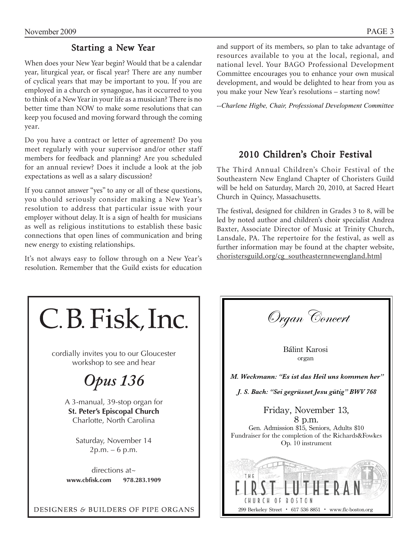# Starting a New Year

When does your New Year begin? Would that be a calendar year, liturgical year, or fiscal year? There are any number of cyclical years that may be important to you. If you are employed in a church or synagogue, has it occurred to you to think of a New Year in your life as a musician? There is no better time than NOW to make some resolutions that can keep you focused and moving forward through the coming year.

Do you have a contract or letter of agreement? Do you meet regularly with your supervisor and/or other staff members for feedback and planning? Are you scheduled for an annual review? Does it include a look at the job expectations as well as a salary discussion?

If you cannot answer "yes" to any or all of these questions, you should seriously consider making a New Year's resolution to address that particular issue with your employer without delay. It is a sign of health for musicians as well as religious institutions to establish these basic connections that open lines of communication and bring new energy to existing relationships.

It's not always easy to follow through on a New Year's resolution. Remember that the Guild exists for education and support of its members, so plan to take advantage of resources available to you at the local, regional, and national level. Your BAGO Professional Development Committee encourages you to enhance your own musical development, and would be delighted to hear from you as you make your New Year's resolutions – starting now!

*--Charlene Higbe, Chair, Professional Development Committee*

# 2010 Children's Choir Festival

The Third Annual Children's Choir Festival of the Southeastern New England Chapter of Choristers Guild will be held on Saturday, March 20, 2010, at Sacred Heart Church in Quincy, Massachusetts.

The festival, designed for children in Grades 3 to 8, will be led by noted author and children's choir specialist Andrea Baxter, Associate Director of Music at Trinity Church, Lansdale, PA. The repertoire for the festival, as well as further information may be found at the chapter website, choristersguild.org/cg\_southeasternnewengland.html

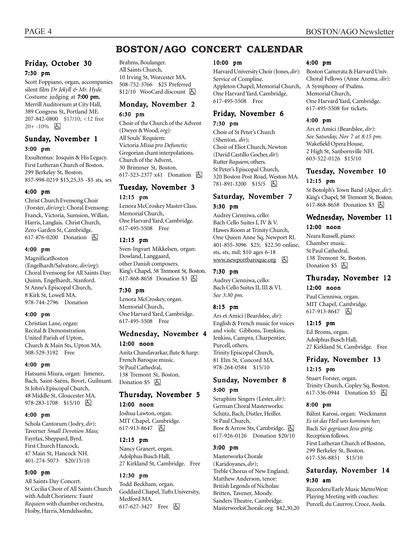# **BOSTON/AGO CONCERT CALENDAR**

### Friday, October 30 7:30 pm

Scott Foppiano, organ, accompanies silent film *Dr Jekyll & Mr. Hyde.* Costume judging at  $7:00$  pm. Merrill Auditorium at City Hall, 389 Congress St, Portland ME. 207-842-0800 \$17/10, <12 free  $20+ -10%$   $\Box$ 

## Sunday, November 1 3:00 pm

Exsultemus: Josquin & His Legacy. First Lutheran Church of Boston. 299 Berkeley St, Boston. 857-998-0219 \$15,25,35 -\$5 sts, srs

#### 4:00 pm

Christ Church Evensong Choir (Forster, *dir/org*): Choral Evensong: Franck, Victoria, Sumsion, Willan, Harris, Langlais. Christ Church, Zero Garden St, Cambridge. 617-876-0200 Donation  $\Box$ 

#### 4:00 pm

MagnificatBoston (Engelhardt/Salvatore, *dir/org*): Choral Evensong for All Saints Day: Quinn, Engelhardt, Stanford. St Anne's Episcopal Church, 8 Kirk St, Lowell MA. 978-744-2796 Donation

#### 4:00 pm

Christian Lane, organ: Recital & Demonstration. United Parish of Upton, Church & Main Sts, Upton MA. 508-529-3192 Free

#### 4:00 pm

Hatsumi Miura, organ: Jimenez, Bach, Saint-Saëns, Bovet, Guilmant. St John's Episcopal Church, 48 Middle St, Gloucester MA. 978-283-1708 \$15/10 | 因

#### 4:00 pm

Schola Cantorum (Jodry, *dir*): Taverner *Small Devotion Mass;* Fayrfax, Sheppard, Byrd. First Church Hancock, 47 Main St, Hancock NH. 401-274-5073 \$20/15/10

#### 5:00 pm

All Saints Day Concert. St Cecilia Choir of All Saints Church with Adult Choristers: Fauré *Requiem* with chamber orchestra, Hoiby, Harris, Mendelssohn,

Brahms, Boulanger. All Saints Church, 10 Irving St, Worcester MA. 508-752-3766 \$25 Preferred  $$12/10$  WooCard discount  $\Box$ 

### Monday, November 2 6:30 pm

Choir of the Church of the Advent (Dwyer & Wood, *org*): All Souls' Requiem: Victoria *Missa pro Defunctis;* Gregorian chant interpolations. Church of the Advent, 30 Brimmer St, Boston. 617-523-2377 x41 Donation **b** 

# Tuesday, November 3 12:15 pm

Lenora McCroskey Master Class. Memorial Church, One Harvard Yard, Cambridge. 617-495-5508 Free

#### 12:15 pm

Sven-Ingvart Mikkelsen, organ: Dowland, Langgaard, other Danish composers. King's Chapel, 58 Tremont St, Boston. 617-868-8658 Donation \$3 因

#### 7:30 pm

Lenora McCroskey, organ. Memorial Church, One Harvard Yard, Cambridge. 617-495-5508 Free

# Wednesday, November 4

#### 12:00 noon

Anita Chandavarkar, flute & harp: French Baroque music. St Paul Cathedral, 138 Tremont St, Boston. Donation \$5 因

### Thursday, November 5

#### 12:00 noon

Joshua Lawton, organ. MIT Chapel, Cambridge. 617-913-8647 因

#### 12:15 pm

Nancy Granert, organ. Adolphus Busch Hall, 27 Kirkland St, Cambridge. Free

#### 12:30 pm

Todd Beckham, organ. Goddard Chapel, Tufts University, Medford MA. 617-627-3427 Free  $\boxed{6}$ 

#### 10:00 pm

Harvard University Choir (Jones, *dir*): Service of Compline. Appleton Chapel, Memorial Church, One Harvard Yard, Cambridge. 617-495-5508 Free

### Friday, November 6 7:30 pm

Choir of St Peter's Church (Shenton, *dir*); Choir of Eliot Church, Newton (David Castillo Gocher, *dir*): Rutter *Requiem,* others. St Peter's Episcopal Church, 320 Boston Post Road, Weston MA. 781-891-3200 \$15/5 因

### Saturday, November 7 3:30 pm

Audrey Cienniwa, cello: Bach Cello Suites I, IV & V. Hawes Room at Trinity Church, One Queen Anne Sq, Newport RI. 401-855-3096 \$25; \$22.50 online, sts, sts, mil; \$10 ages 6-18 www.newportbaroque.org **b** 

#### 7:30 pm

Audrey Cienniwa, cello: Bach Cello Suites II, III & VI. *See 3:30 pm.*

#### 8:15 pm

Ars et Amici (Beardslee, *dir*): English & French music for voices and viols: Gibbons, Tomkins, Jenkins, Campra, Charpentier, Purcell, others. Trinity Episcopal Church, 81 Elm St, Concord MA. 978-264-0584 \$15/10

# Sunday, November 8

# 3:00 pm

Seraphim Singers (Lester, *dir*): German Choral Masterworks: Schütz, Bach, Distler, Heiller. St Paul Church, Bow & Arrow Sts, Cambridge. [5] 617-926-0126 Donation \$20/10

#### 3:00 pm

Masterworks Chorale (Karidoyanes, *dir*); Treble Chorus of New England; Matthew Anderson, tenor: British Legends of Nicholas: Britten, Tavener, Moody. Sanders Theatre, Cambridge. MasterworksChorale.org \$42,30,20

#### 4:00 pm

Boston Camerata & Harvard Univ. Choral Fellows (Anne Azema, *dir*): A Symphony of Psalms. Memorial Church, One Harvard Yard, Cambridge. 617-495-5508 for tickets.

#### 4:00 pm

Ars et Amici (Beardslee, *dir*): *See Saturday, Nov 7 at 8:15 pm.* Wakefield Opera House, 2 High St, Sanbornville NH. 603-522-0126 \$15/10

## Tuesday, November 10 12:15 pm

St Botolph's Town Band (Alper, *dir*). King's Chapel, 58 Tremont St, Boston. 617-868-8658 Donation \$3 因

# Wednesday, November 11

### 12:00 noon

Neara Russell, piano: Chamber music. St Paul Cathedral, 138 Tremont St, Boston. Donation  $$5$   $\Box$ 

#### Thursday, November 12

#### 12:00 noon

Paul Cienniwa, organ. MIT Chapel, Cambridge. 617-913-8647 因

#### 12:15 pm

Ed Broms, organ. Adolphus Busch Hall, 27 Kirkland St, Cambridge. Free

# Friday, November 13 12:15 pm

Stuart Forster, organ. Trinity Church, Copley Sq, Boston. 617-536-0944 Donation \$5 | A

#### 8:00 pm

Bálint Karosi, organ: Weckmann *Es ist das Heil uns kommen her;* Bach *Sei gegrüsset Jesu gütig.* Reception follows. First Lutheran Church of Boston, 299 Berkeley St, Boston. 617-536-8851 \$15/10

# Saturday, November 14 9:30 am

Recorders/Early Music MetroWest: Playing Meeting with coaches: Purcell, du Caurroy, Croce, Asola.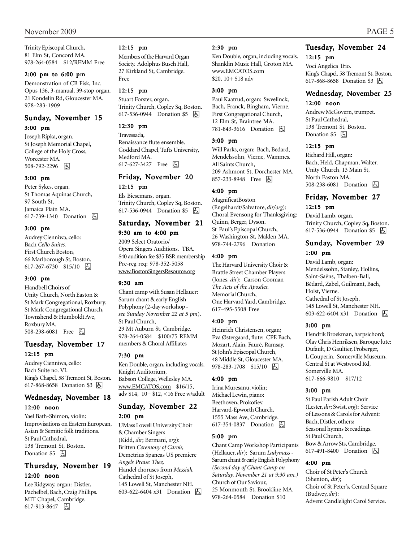Trinity Episcopal Church, 81 Elm St, Concord MA. 978-264-0584 \$12/REMM Free

#### 2:00 pm to 6:00 pm

Demonstration of CB Fisk, Inc. Opus 136, 3-manual, 39-stop organ. 21 Kondelin Rd, Gloucester MA. 978-283-1909

## Sunday, November 15 3:00 pm

Joseph Ripka, organ. St Joseph Memorial Chapel, College of the Holy Cross, Worcester MA. 508-792-2296 因

#### 3:00 pm

Peter Sykes, organ. St Thomas Aquinas Church, 97 South St, Jamaica Plain MA. 617-739-1340 Donation **b** 

#### 3:00 pm

Audrey Cienniwa, cello: Bach *Cello Suites.* First Church Boston, 66 Marlborough St, Boston. 617-267-6730 \$15/10  $\boxed{6}$ 

#### 3:00 pm

Handbell Choirs of Unity Church, North Easton & St Mark Congregational, Roxbury. St Mark Congregational Church, Townshend & Humboldt Ave, Roxbury MA. 508-238-6081 Free 因

# Tuesday, November 17 12:15 pm

Audrey Cienniwa, cello: Bach Suite no. VI. King's Chapel, 58 Tremont St, Boston. 617-868-8658 Donation \$3 因

### Wednesday, November 18 12:00 noon

Yael Bath-Shimon, violin: Improvisations on Eastern European, Asian & Semitic folk traditions. St Paul Cathedral, 138 Tremont St, Boston. Donation  $$5$   $\Box$ 

# Thursday, November 19 12:00 noon

Lee Ridgway, organ: Distler, Pachelbel, Bach, Craig Phillips. MIT Chapel, Cambridge. 617-913-8647 因

#### 12:15 pm

Members of the Harvard Organ Society. Adolphus Busch Hall, 27 Kirkland St, Cambridge. Free

#### 12:15 pm

Stuart Forster, organ. Trinity Church, Copley Sq, Boston. 617-536-0944 Donation \$5 因

### 12:30 pm

Travessada, Renaissance flute ensemble. Goddard Chapel, Tufts University, Medford MA. 617-627-3427 Free 因

## Friday, November 20 12:15 pm

Els Biesemans, organ. Trinity Church, Copley Sq, Boston. 617-536-0944 Donation \$5 **b** 

# Saturday, November 21

### 9:30 am to 4:00 pm

2009 Select Oratorio/ Opera Singers Auditions. TBA. \$40 audition fee \$35 BSR membership Pre-reg req: 978-352-5058 www.BostonSingersResource.org

#### 9:30 am

Chant camp with Susan Hellauer: Sarum chant & early English Polyphony (2-day workshop *see Sunday November 22 at 5 pm*). St Paul Church, 29 Mt Auburn St, Cambridge. 978-264-0584 \$100/75 REMM members & Choral Affiliates

#### 7:30 pm

Ken Double, organ, including vocals. Knight Auditorium, Babson College, Wellesley MA. www.EMCATOS.com \$16/15, adv \$14, 10+ \$12, <16 Free w/adult

# Sunday, November 22 2:00 pm

UMass Lowell University Choir & Chamber Singers (Kidd, *dir*; Bermani, *org*): Britten *Ceremony of Carols,* Demetrius Spaneas US premiere *Angels Praise Thee,* Handel choruses from *Messiah.* Cathedral of St Joseph, 145 Lowell St, Manchester NH. 603-622-6404 x31 Donation **b** 

#### 2:30 pm

Ken Double, organ, including vocals. Shanklin Music Hall, Groton MA. www.EMCATOS.com \$20, 10+ \$18 adv

#### 3:00 pm

Paul Kaatrud, organ: Sweelinck, Bach, Franck, Bingham, Vierne. First Congregational Church, 12 Elm St, Braintree MA. 781-843-3616 Donation h

#### 3:00 pm

Will Parks, organ: Bach, Bedard, Mendelssohn, Vierne, Wammes. All Saints Church, 209 Ashmont St, Dorchester MA. 857-233-8948 Free 囚

### 4:00 pm

MagnificatBoston (Engelhardt/Salvatore, *dir/org*): Choral Evensong for Thanksgiving: Quinn, Berger, Dyson. St Paul's Episcopal Church, 26 Washington St, Malden MA. 978-744-2796 Donation

#### 4:00 pm

The Harvard University Choir & Brattle Street Chamber Players (Jones, *dir*): Carson Cooman *The Acts of the Apostles.* Memorial Church, One Harvard Yard, Cambridge. 617-495-5508 Free

### 4:00 pm

Heinrich Christensen, organ; Eva Østergaard, flute: CPE Bach, Mozart, Alain, Fauré, Ramsay. St John's Episcopal Church, 48 Middle St, Gloucester MA. 978-283-1708 \$15/10 | 人

#### 4:00 pm

Irina Muresanu, violin; Michael Lewin, piano: Beethoven, Prokofiev. Harvard-Epworth Church, 1555 Mass Ave, Cambridge. 617-354-0837 Donation **b** 

#### 5:00 pm

Chant Camp Workshop Participants (Hellauer, *dir*): Sarum *Ladymass -* Sarum chant & early English Polyphony *(Second day of Chant Camp on Saturday, November 21 at 9:30 am.)* Church of Our Saviour, 25 Monmouth St, Brookline MA. 978-264-0584 Donation \$10

# Tuesday, November 24

12:15 pm

Voci Angelica Trio. King's Chapel, 58 Tremont St, Boston. 617-868-8658 Donation \$3 **b** 

### Wednesday, November 25 12:00 noon

Andrew McGovern, trumpet. St Paul Cathedral, 138 Tremont St, Boston. Donation  $$5$   $\Box$ 

#### 12:15 pm

Richard Hill, organ: Bach, Held, Chapman, Walter. Unity Church, 13 Main St, North Easton MA. 508-238-6081 Donation **A** 

# Friday, November 27 12:15 pm

# David Lamb, organ.

Trinity Church, Copley Sq, Boston. 617-536-0944 Donation \$5 | A

# Sunday, November 29 1:00 pm

David Lamb, organ: Mendelssohn, Stanley, Hollins, Saint-Saëns, Thalben-Ball, Bédard, Zabel, Guilmant, Bach, Holst, Vierne. Cathedral of St Joseph, 145 Lowell St, Manchester NH. 603-622-6404 x31 Donation **b** 

#### 3:00 pm

Hendrik Broekman, harpsichord; Olav Chris Henriksen, Baroque lute: Dufault, D Gaultier, Froberger, L Couperin. Somerville Museum, Central St at Westwood Rd, Somerville MA. 617-666-9810 \$17/12

#### 3:00 pm

St Paul Parish Adult Choir (Lester, *dir;* Swist, *org*): Service of Lessons & Carols for Advent: Bach, Distler, others; Seasonal hymns & readings. St Paul Church, Bow & Arrow Sts, Cambridge. 617-491-8400 Donation  $\boxed{6}$ 

#### 4:00 pm

Choir of St Peter's Church (Shenton, *dir*); Choir of St Peter's, Central Square (Budwey, *dir*): Advent Candlelight Carol Service.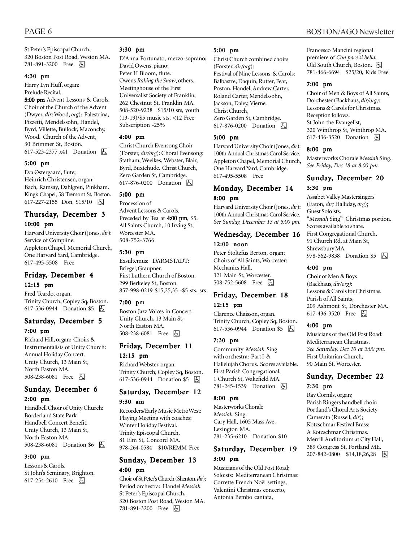St Peter's Episcopal Church, 320 Boston Post Road, Weston MA. 781-891-3200 Free 因

#### 4:30 pm

Harry Lyn Huff, organ: Prelude Recital.

5:00 pm Advent Lessons & Carols. Choir of the Church of the Advent (Dwyer, *dir;* Wood, *org*): Palestrina, Pizzetti, Mendelssohn, Handel, Byrd, Villette, Bullock, Maconchy, Wood. Church of the Advent, 30 Brimmer St, Boston. 617-523-2377 x41 Donation **b** 

#### 5:00 pm

Eva Østergaard, flute; Heinrich Christensen, organ: Bach, Ramsay, Dahlgren, Pinkham. King's Chapel, 58 Tremont St, Boston. 617-227-2155 Don. \$15/10 | A

## Thursday, December 3 10:00 pm

Harvard University Choir (Jones, *dir*): Service of Compline. Appleton Chapel, Memorial Church, One Harvard Yard, Cambridge. 617-495-5508 Free

# Friday, December 4

#### 12:15 pm

Fred Teardo, organ. Trinity Church, Copley Sq, Boston. 617-536-0944 Donation \$5  $\boxed{6}$ 

### Saturday, December 5 7:00 pm

Richard Hill, organ; Choirs & Instrumentalists of Unity Church: Annual Holiday Concert. Unity Church, 13 Main St, North Easton MA. 508-238-6081 Free 因

### Sunday, December 6 2:00 pm

Handbell Choir of Unity Church: Borderland State Park Handbell Concert Benefit. Unity Church, 13 Main St, North Easton MA. 508-238-6081 Donation \$6 | +

#### 3:00 pm

Lessons & Carols. St John's Seminary, Brighton. 617-254-2610 Free 因

#### 3:30 pm

D'Anna Fortunato, mezzo-soprano; David Owens, piano; Peter H Bloom, flute. Owens *Raking the Snow*, others. Meetinghouse of the First Universalist Society of Franklin, 262 Chestnut St, Franklin MA. 508-520-9238 \$15/10 srs, youth (13-19)/\$5 music sts, <12 Free Subscription -25%

#### 4:00 pm

Christ Church Evensong Choir (Forster, *dir/org*): Choral Evensong: Statham, Weelkes, Webster, Blair, Byrd, Buxtehude. Christ Church, Zero Garden St, Cambridge. 617-876-0200 Donation **A** 

#### 5:00 pm

Procession of Advent Lessons & Carols. Preceded by Tea at 4:00 pm, \$5. All Saints Church, 10 Irving St, Worcester MA. 508-752-3766

#### 5:30 pm

Exsultemus: DARMSTADT: Briegel, Graupner. First Luthern Church of Boston. 299 Berkeley St, Boston. 857-998-0219 \$15,25,35 -\$5 sts, srs

#### 7:00 pm

Boston Jazz Voices in Concert. Unity Church, 13 Main St, North Easton MA. 508-238-6081 Free **b** 

# Friday, December 11 12:15 pm

Richard Webster, organ. Trinity Church, Copley Sq, Boston. 617-536-0944 Donation \$5 | A

### Saturday, December 12 9:30 am

Recorders/Early Music MetroWest: Playing Meeting with coaches: Winter Holiday Festival. Trinity Episcopal Church, 81 Elm St, Concord MA. 978-264-0584 \$10/REMM Free

### Sunday, December 13 4:00 pm

Choir of St Peter's Church (Shenton, *dir*); Period orchestra: Handel *Messiah.* St Peter's Episcopal Church, 320 Boston Post Road, Weston MA. 781-891-3200 Free 因

#### 5:00 pm

Christ Church combined choirs (Forster, *dir/org*): Festival of Nine Lessons & Carols: Balbastre, Daquin, Rutter, Fear, Poston, Handel, Andrew Carter, Roland Carter, Mendelssohn, Jackson, Daley, Vierne. Christ Church, Zero Garden St, Cambridge. 617-876-0200 Donation **b** 

#### 5:00 pm

Harvard University Choir (Jones, *dir*): 100th Annual Christmas Carol Service. Appleton Chapel, Memorial Church, One Harvard Yard, Cambridge. 617-495-5508 Free

### Monday, December 14 8:00 pm

Harvard University Choir (Jones, *dir*): 100th Annual Christmas Carol Service. *See Sunday, December 13 at 5:00 pm.*

# Wednesday, December 16

### 12:00 noon

Peter Stoltzfus Berton, organ; Choirs of All Saints, Worcester: Mechanics Hall, 321 Main St, Worcester. 508-752-5608 Free **b** 

### Friday, December 18 12:15 pm

Clarence Chaisson, organ. Trinity Church, Copley Sq, Boston. 617-536-0944 Donation \$5 | A

#### 7:30 pm

Community *Messiah* Sing with orchestra: Part I & Hallelujah Chorus. Scores available. First Parish Congregational, 1 Church St, Wakefield MA. 781-245-1539 Donation **囚** 

#### 8:00 pm

Masterworks Chorale *Messiah* Sing. Cary Hall, 1605 Mass Ave, Lexington MA. 781-235-6210 Donation \$10

# Saturday, December 19 3:00 pm

Musicians of the Old Post Road; Soloists: Mediterranean Christmas: Corrette French Noël settings, Valentini Christmas concerto, Antonia Bembo cantata,

Francesco Mancini regional premiere of *Con pace si bella.* Old South Church, Boston. (人 781-466-6694 \$25/20, Kids Free

#### 7:00 pm

Choir of Men & Boys of All Saints, Dorchester (Backhaus, *dir/org)*: Lessons & Carols for Christmas. Reception follows. St John the Evangelist, 320 Winthrop St, Winthrop MA. 617-436-3520 Donation **b** 

#### 8:00 pm

Masterworks Chorale *Messiah* Sing. *See Friday, Dec 18 at 8:00 pm.*

## Sunday, December 20

#### 3:30 pm

Assabet Valley Mastersingers (Eaton, *dir;* Halliday, *org*); Guest Soloists. "*Messiah* Sing" Christmas portion. Scores available to share. First Congregational Church, 91 Church Rd, at Main St, Shrewsbury MA. 978-562-9838 Donation \$5 | 4

#### 4:00 pm

Choir of Men & Boys (Backhaus, *dir/org)*: Lessons & Carols for Christmas. Parish of All Saints, 209 Ashmont St, Dorchester MA. 617-436-3520 Free 因

#### 4:00 pm

Musicians of the Old Post Road: Mediterranean Christmas. *See Saturday, Dec 10 at 3:00 pm.* First Unitarian Church, 90 Main St, Worcester.

## Sunday, December 22 7:30 pm

Ray Cornils, organ; Parish Ringers handbell choir; Portland's Choral Arts Society Camerata (Russell, *dir*); Kotzschmar Festival Brass: A Kotzschmar Christmas. Merrill Auditorium at City Hall, 389 Congress St, Portland ME. 207-842-0800 \$14,18,26,28 因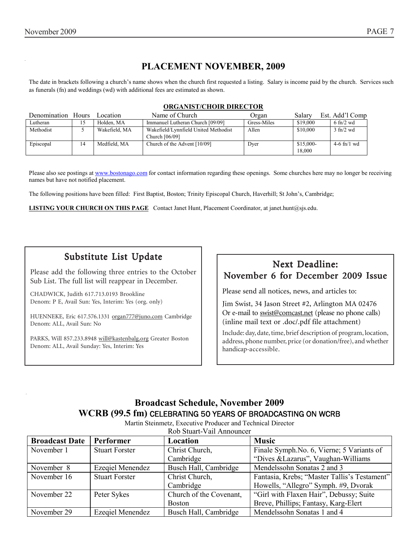# **PLACEMENT NOVEMBER, 2009**

The date in brackets following a church's name shows when the church first requested a listing. Salary is income paid by the church. Services such as funerals (fn) and weddings (wd) with additional fees are estimated as shown.

#### **ORGANIST/CHOIR DIRECTOR**

| Denomination Hours |    | Location      | Name of Church                                         | Organ       | Salary               | Est. Add'l Comp      |
|--------------------|----|---------------|--------------------------------------------------------|-------------|----------------------|----------------------|
| Lutheran           | 15 | Holden. MA    | Immanuel Lutheran Church [09/09]                       | Gress-Miles | \$19,000             | $6 \text{ ft}$ /2 wd |
| Methodist          |    | Wakefield, MA | Wakefield/Lynnfield United Methodist<br>Church [06/09] | Allen       | \$10,000             | $3$ fn/2 wd          |
| Episcopal          | 14 | Medfield, MA  | Church of the Advent [10/09]                           | Dyer        | $$15,000-$<br>18.000 | $4-6$ fn/1 wd        |

Please also see postings at www.bostonago.com for contact information regarding these openings. Some churches here may no longer be receiving names but have not notified placement.

The following positions have been filled: First Baptist, Boston; Trinity Episcopal Church, Haverhill; St John's, Cambridge;

**LISTING YOUR CHURCH ON THIS PAGE** Contact Janet Hunt, Placement Coordinator, at janet.hunt@sjs.edu.

# Substitute List Update

Please add the following three entries to the October Sub List. The full list will reappear in December.

CHADWICK, Judith 617.713.0193 Brookline Denom: P E, Avail Sun: Yes, Interim: Yes (org. only)

HUENNEKE, Eric 617.576.1331 organ777@juno.com Cambridge Denom: ALL, Avail Sun: No

PARKS, Will 857.233.8948 will@kastenbalg.org Greater Boston Denom: ALL, Avail Sunday: Yes, Interim: Yes

# Next Deadline: November 6 for December 2009 Issue

Please send all notices, news, and articles to:

Jim Swist, 34 Jason Street #2, Arlington MA 02476 Or e-mail to swist@comcast.net (please no phone calls) (inline mail text or .doc/.pdf file attachment)

Include: day, date, time, brief description of program, location, address, phone number, price (or donation/free), and whether handicap-accessible.

# **Broadcast Schedule, November 2009 WCRB (99.5 fm)** CELEBRATING 50 YEARS OF BROADCASTING ON WCRB

| <b>Broadcast Date</b> | Performer               | Location                | <b>Music</b>                                 |
|-----------------------|-------------------------|-------------------------|----------------------------------------------|
| November 1            | <b>Stuart Forster</b>   | Christ Church,          | Finale Symph. No. 6, Vierne; 5 Variants of   |
|                       |                         | Cambridge               | "Dives & Lazarus", Vaughan-Williams          |
| November 8            | Ezeqiel Menendez        | Busch Hall, Cambridge   | Mendelssohn Sonatas 2 and 3                  |
| November 16           | <b>Stuart Forster</b>   | Christ Church,          | Fantasia, Krebs; "Master Tallis's Testament" |
|                       |                         | Cambridge               | Howells, "Allegro" Symph. #9, Dvorak         |
| November 22           | Peter Sykes             | Church of the Covenant, | "Girl with Flaxen Hair", Debussy; Suite      |
|                       |                         | <b>Boston</b>           | Breve, Phillips; Fantasy, Karg-Elert         |
| November 29           | <b>Ezeqiel Menendez</b> | Busch Hall, Cambridge   | Mendelssohn Sonatas 1 and 4                  |

Martin Steinmetz, Executive Producer and Technical Director Rob Stuart-Vail Announcer